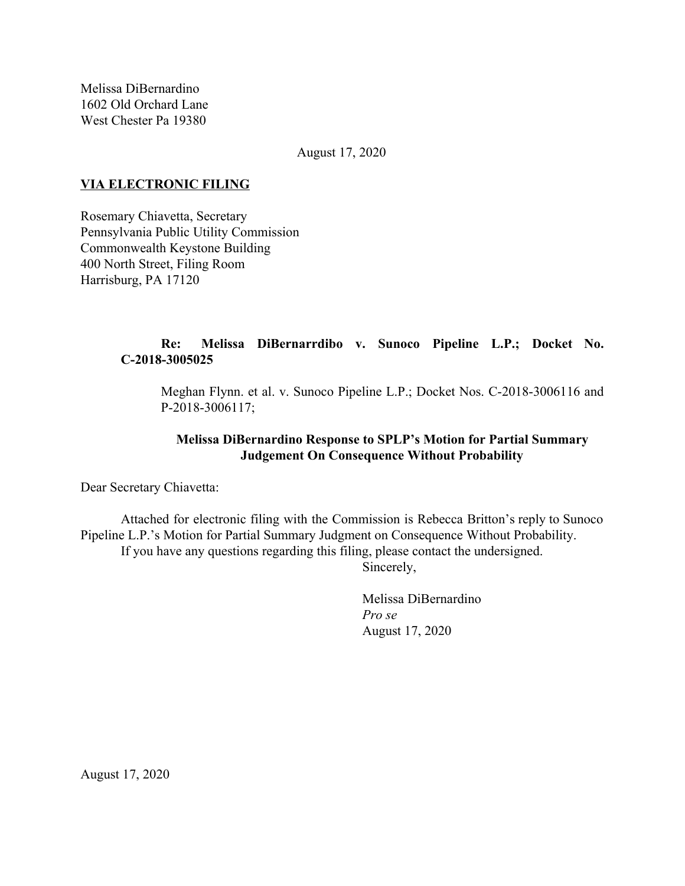Melissa DiBernardino 1602 Old Orchard Lane West Chester Pa 19380

August 17, 2020

### **VIA ELECTRONIC FILING**

Rosemary Chiavetta, Secretary Pennsylvania Public Utility Commission Commonwealth Keystone Building 400 North Street, Filing Room Harrisburg, PA 17120

# **Re: Melissa DiBernarrdibo v. Sunoco Pipeline L.P.; Docket No. C-2018-3005025**

Meghan Flynn. et al. v. Sunoco Pipeline L.P.; Docket Nos. C-2018-3006116 and P-2018-3006117;

# **Melissa DiBernardino Response to SPLP's Motion for Partial Summary Judgement On Consequence Without Probability**

Dear Secretary Chiavetta:

Attached for electronic filing with the Commission is Rebecca Britton's reply to Sunoco Pipeline L.P.'s Motion for Partial Summary Judgment on Consequence Without Probability. If you have any questions regarding this filing, please contact the undersigned.

Sincerely,

Melissa DiBernardino *Pro se* August 17, 2020

August 17, 2020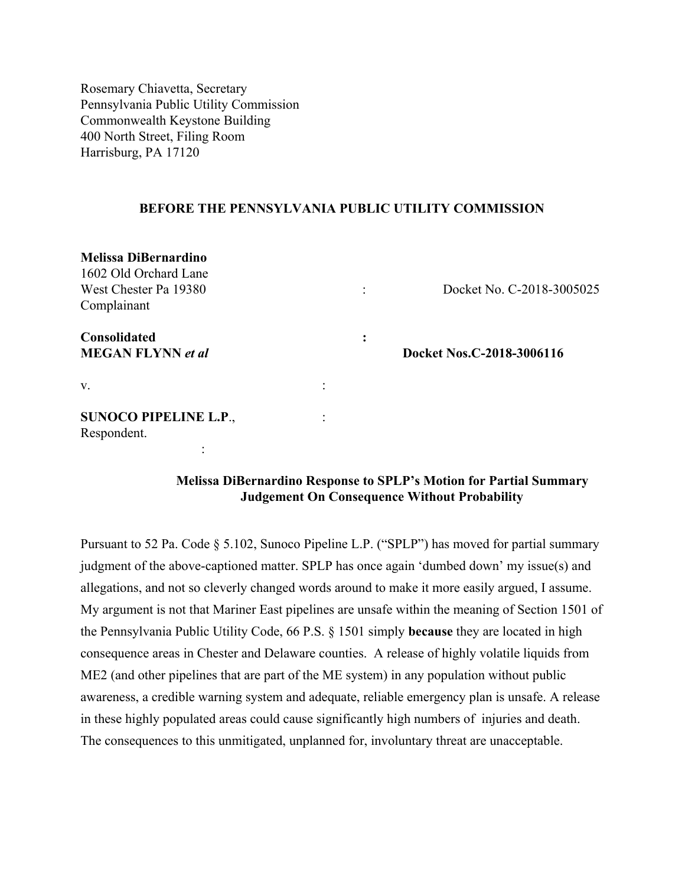Rosemary Chiavetta, Secretary Pennsylvania Public Utility Commission Commonwealth Keystone Building 400 North Street, Filing Room Harrisburg, PA 17120

#### **BEFORE THE PENNSYLVANIA PUBLIC UTILITY COMMISSION**

| <b>Melissa DiBernardino</b>  |  |                |                           |
|------------------------------|--|----------------|---------------------------|
| 1602 Old Orchard Lane        |  |                |                           |
| West Chester Pa 19380        |  |                | Docket No. C-2018-3005025 |
| Complainant                  |  |                |                           |
| Consolidated                 |  | ٠<br>$\bullet$ |                           |
| <b>MEGAN FLYNN</b> et al     |  |                | Docket Nos.C-2018-3006116 |
| V.                           |  |                |                           |
| <b>SUNOCO PIPELINE L.P.,</b> |  |                |                           |
| Respondent.                  |  |                |                           |
|                              |  |                |                           |

# **Melissa DiBernardino Response to SPLP's Motion for Partial Summary Judgement On Consequence Without Probability**

Pursuant to 52 Pa. Code § 5.102, Sunoco Pipeline L.P. ("SPLP") has moved for partial summary judgment of the above-captioned matter. SPLP has once again 'dumbed down' my issue(s) and allegations, and not so cleverly changed words around to make it more easily argued, I assume. My argument is not that Mariner East pipelines are unsafe within the meaning of Section 1501 of the Pennsylvania Public Utility Code, 66 P.S. § 1501 simply **because** they are located in high consequence areas in Chester and Delaware counties. A release of highly volatile liquids from ME2 (and other pipelines that are part of the ME system) in any population without public awareness, a credible warning system and adequate, reliable emergency plan is unsafe. A release in these highly populated areas could cause significantly high numbers of injuries and death. The consequences to this unmitigated, unplanned for, involuntary threat are unacceptable.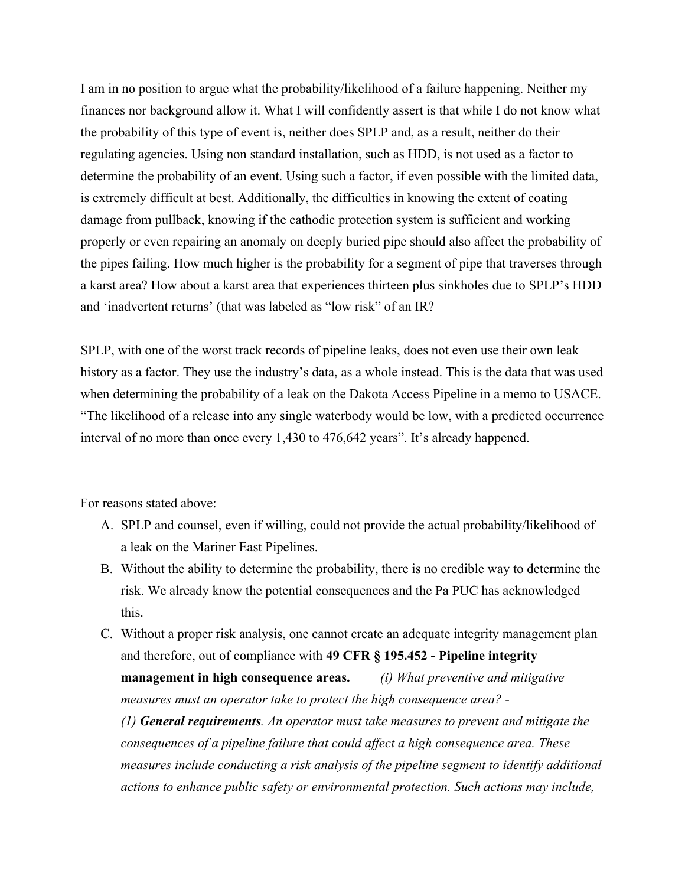I am in no position to argue what the probability/likelihood of a failure happening. Neither my finances nor background allow it. What I will confidently assert is that while I do not know what the probability of this type of event is, neither does SPLP and, as a result, neither do their regulating agencies. Using non standard installation, such as HDD, is not used as a factor to determine the probability of an event. Using such a factor, if even possible with the limited data, is extremely difficult at best. Additionally, the difficulties in knowing the extent of coating damage from pullback, knowing if the cathodic protection system is sufficient and working properly or even repairing an anomaly on deeply buried pipe should also affect the probability of the pipes failing. How much higher is the probability for a segment of pipe that traverses through a karst area? How about a karst area that experiences thirteen plus sinkholes due to SPLP's HDD and 'inadvertent returns' (that was labeled as "low risk" of an IR?

SPLP, with one of the worst track records of pipeline leaks, does not even use their own leak history as a factor. They use the industry's data, as a whole instead. This is the data that was used when determining the probability of a leak on the Dakota Access Pipeline in a memo to USACE. "The likelihood of a release into any single waterbody would be low, with a predicted occurrence interval of no more than once every 1,430 to 476,642 years". It's already happened.

For reasons stated above:

- A. SPLP and counsel, even if willing, could not provide the actual probability/likelihood of a leak on the Mariner East Pipelines.
- B. Without the ability to determine the probability, there is no credible way to determine the risk. We already know the potential consequences and the Pa PUC has acknowledged this.
- C. Without a proper risk analysis, one cannot create an adequate integrity management plan and therefore, out of compliance with **49 CFR § 195.452 - Pipeline integrity management in high consequence areas.** *(i) What preventive and mitigative measures must an operator take to protect the high consequence area? - (1) General requirements. An operator must take measures to prevent and mitigate the consequences of a pipeline failure that could affect a high consequence area. These*

*measures include conducting a risk analysis of the pipeline segment to identify additional actions to enhance public safety or environmental protection. Such actions may include,*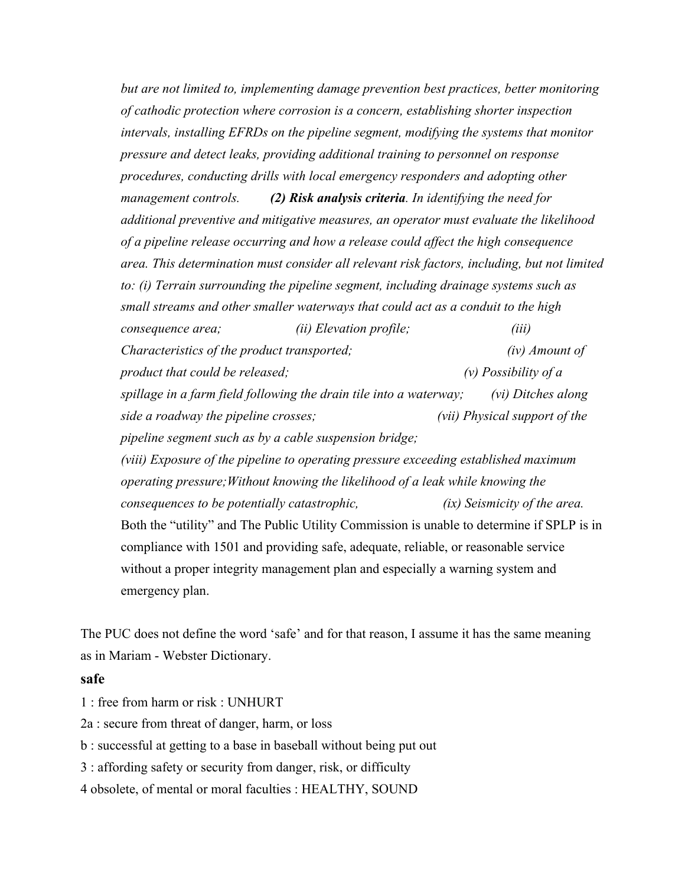*but are not limited to, implementing damage prevention best practices, better monitoring of cathodic protection where corrosion is a concern, establishing shorter inspection intervals, installing EFRDs on the pipeline segment, modifying the systems that monitor pressure and detect leaks, providing additional training to personnel on response procedures, conducting drills with local emergency responders and adopting other management controls. (2) Risk analysis criteria. In identifying the need for additional preventive and mitigative measures, an operator must evaluate the likelihood of a pipeline release occurring and how a release could affect the high consequence area. This determination must consider all relevant risk factors, including, but not limited to: (i) Terrain surrounding the pipeline segment, including drainage systems such as small streams and other smaller waterways that could act as a conduit to the high consequence area; (ii) Elevation profile; (iii) Characteristics of the product transported; (iv) Amount of product that could be released; (v) Possibility of a spillage in a farm field following the drain tile into a waterway; (vi) Ditches along side a roadway the pipeline crosses; (vii) Physical support of the pipeline segment such as by a cable suspension bridge; (viii) Exposure of the pipeline to operating pressure exceeding established maximum operating pressure;Without knowing the likelihood of a leak while knowing the consequences to be potentially catastrophic, (ix) Seismicity of the area.* Both the "utility" and The Public Utility Commission is unable to determine if SPLP is in compliance with 1501 and providing safe, adequate, reliable, or reasonable service without a proper integrity management plan and especially a warning system and

emergency plan.

The PUC does not define the word 'safe' and for that reason, I assume it has the same meaning as in Mariam - Webster Dictionary.

### **safe**

1 : free from harm or risk : UNHURT

2a : secure from threat of danger, harm, or loss

b : successful at getting to a base in baseball without being put out

3 : affording safety or security from danger, risk, or difficulty

4 obsolete, of mental or moral faculties : HEALTHY, SOUND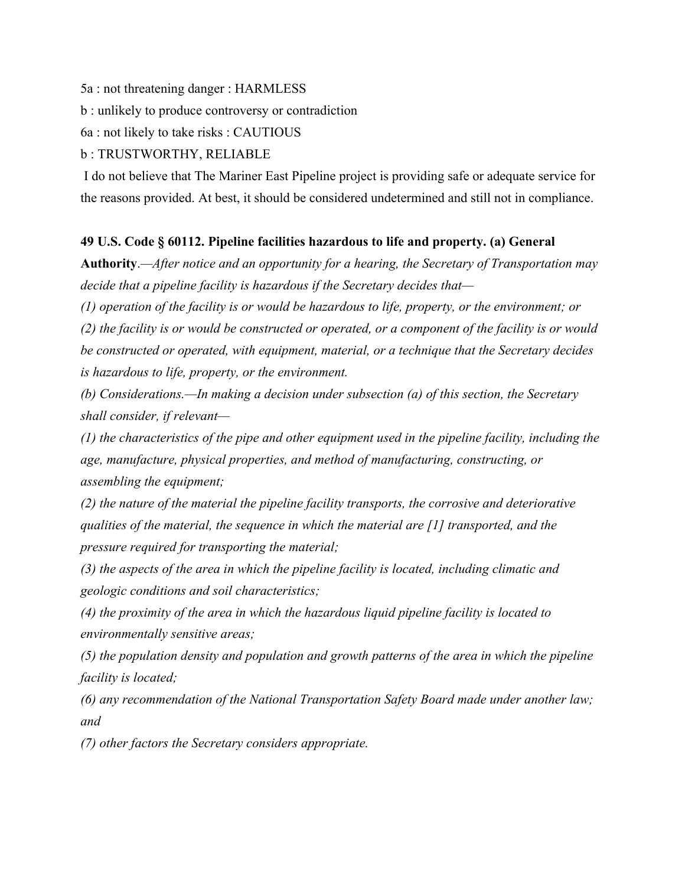5a : not threatening danger : HARMLESS

b : unlikely to produce controversy or contradiction

6a : not likely to take risks : CAUTIOUS

#### b : TRUSTWORTHY, RELIABLE

 I do not believe that The Mariner East Pipeline project is providing safe or adequate service for the reasons provided. At best, it should be considered undetermined and still not in compliance.

### **49 U.S. Code § 60112. Pipeline facilities hazardous to life and property. (a) General**

**Authority**.*—After notice and an opportunity for a hearing, the Secretary of Transportation may decide that a pipeline facility is hazardous if the Secretary decides that—*

*(1) operation of the facility is or would be hazardous to life, property, or the environment; or*

*(2) the facility is or would be constructed or operated, or a component of the facility is or would be constructed or operated, with equipment, material, or a technique that the Secretary decides is hazardous to life, property, or the environment.*

*(b) Considerations.—In making a decision under subsection (a) of this section, the Secretary shall consider, if relevant—*

*(1) the characteristics of the pipe and other equipment used in the pipeline facility, including the age, manufacture, physical properties, and method of manufacturing, constructing, or assembling the equipment;*

*(2) the nature of the material the pipeline facility transports, the corrosive and deteriorative qualities of the material, the sequence in which the material are [1] transported, and the pressure required for transporting the material;*

*(3) the aspects of the area in which the pipeline facility is located, including climatic and geologic conditions and soil characteristics;*

*(4) the proximity of the area in which the hazardous liquid pipeline facility is located to environmentally sensitive areas;*

*(5) the population density and population and growth patterns of the area in which the pipeline facility is located;*

*(6) any recommendation of the National Transportation Safety Board made under another law; and*

*(7) other factors the Secretary considers appropriate.*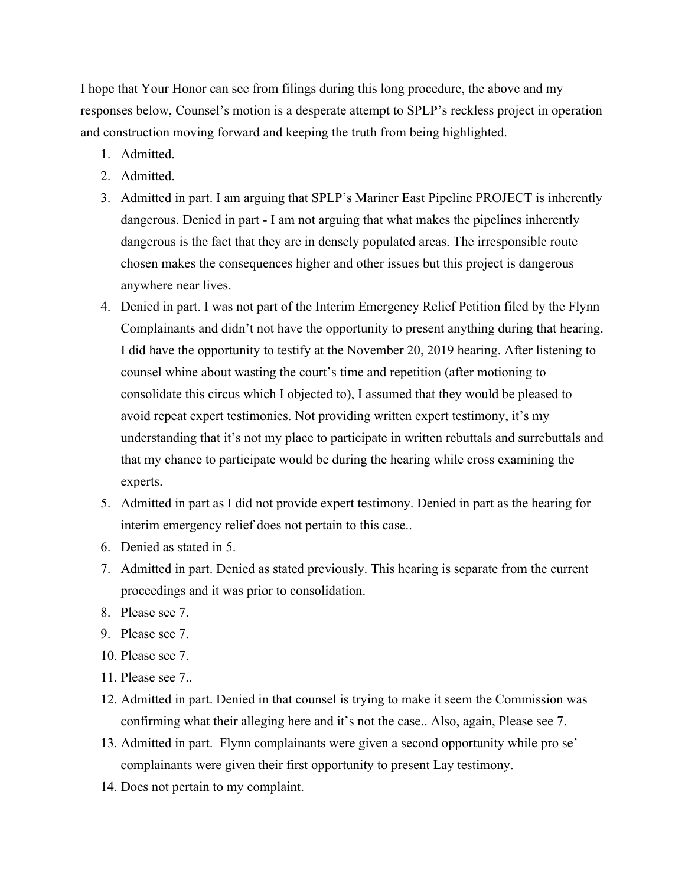I hope that Your Honor can see from filings during this long procedure, the above and my responses below, Counsel's motion is a desperate attempt to SPLP's reckless project in operation and construction moving forward and keeping the truth from being highlighted.

- 1. Admitted.
- 2. Admitted.
- 3. Admitted in part. I am arguing that SPLP's Mariner East Pipeline PROJECT is inherently dangerous. Denied in part - I am not arguing that what makes the pipelines inherently dangerous is the fact that they are in densely populated areas. The irresponsible route chosen makes the consequences higher and other issues but this project is dangerous anywhere near lives.
- 4. Denied in part. I was not part of the Interim Emergency Relief Petition filed by the Flynn Complainants and didn't not have the opportunity to present anything during that hearing. I did have the opportunity to testify at the November 20, 2019 hearing. After listening to counsel whine about wasting the court's time and repetition (after motioning to consolidate this circus which I objected to), I assumed that they would be pleased to avoid repeat expert testimonies. Not providing written expert testimony, it's my understanding that it's not my place to participate in written rebuttals and surrebuttals and that my chance to participate would be during the hearing while cross examining the experts.
- 5. Admitted in part as I did not provide expert testimony. Denied in part as the hearing for interim emergency relief does not pertain to this case..
- 6. Denied as stated in 5.
- 7. Admitted in part. Denied as stated previously. This hearing is separate from the current proceedings and it was prior to consolidation.
- 8. Please see 7.
- 9. Please see 7.
- 10. Please see 7.
- 11. Please see 7..
- 12. Admitted in part. Denied in that counsel is trying to make it seem the Commission was confirming what their alleging here and it's not the case.. Also, again, Please see 7.
- 13. Admitted in part. Flynn complainants were given a second opportunity while pro se' complainants were given their first opportunity to present Lay testimony.
- 14. Does not pertain to my complaint.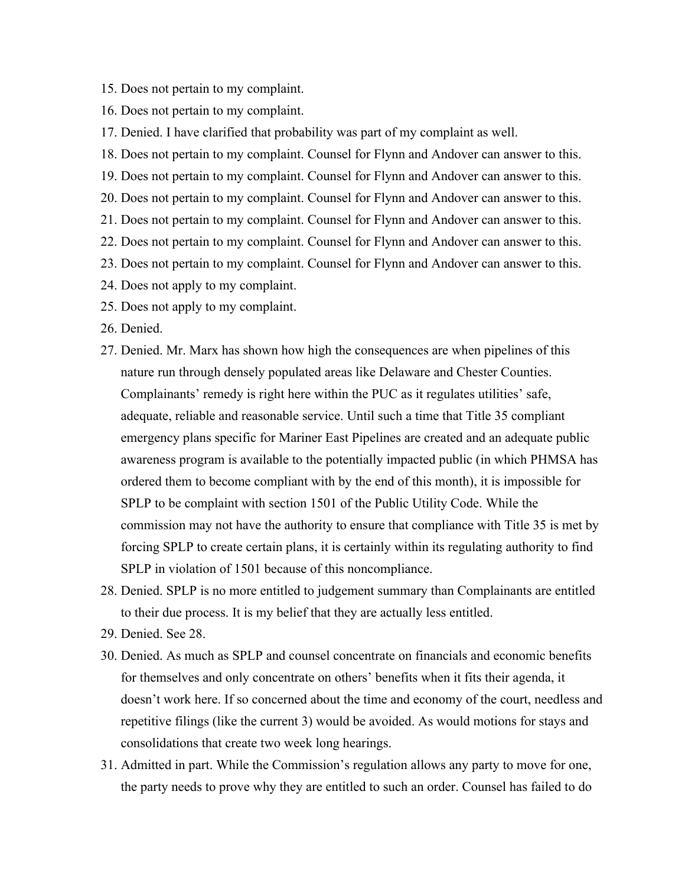- 15. Does not pertain to my complaint.
- 16. Does not pertain to my complaint.
- 17. Denied. I have clarified that probability was part of my complaint as well.
- 18. Does not pertain to my complaint. Counsel for Flynn and Andover can answer to this.
- 19. Does not pertain to my complaint. Counsel for Flynn and Andover can answer to this.
- 20. Does not pertain to my complaint. Counsel for Flynn and Andover can answer to this.
- 21. Does not pertain to my complaint. Counsel for Flynn and Andover can answer to this.
- 22. Does not pertain to my complaint. Counsel for Flynn and Andover can answer to this.
- 23. Does not pertain to my complaint. Counsel for Flynn and Andover can answer to this.
- 24. Does not apply to my complaint.
- 25. Does not apply to my complaint.
- 26. Denied.
- 27. Denied. Mr. Marx has shown how high the consequences are when pipelines of this nature run through densely populated areas like Delaware and Chester Counties. Complainants' remedy is right here within the PUC as it regulates utilities' safe, adequate, reliable and reasonable service. Until such a time that Title 35 compliant emergency plans specific for Mariner East Pipelines are created and an adequate public awareness program is available to the potentially impacted public (in which PHMSA has ordered them to become compliant with by the end of this month), it is impossible for SPLP to be complaint with section 1501 of the Public Utility Code. While the commission may not have the authority to ensure that compliance with Title 35 is met by forcing SPLP to create certain plans, it is certainly within its regulating authority to find SPLP in violation of 1501 because of this noncompliance.
- 28. Denied. SPLP is no more entitled to judgement summary than Complainants are entitled to their due process. It is my belief that they are actually less entitled.
- 29. Denied. See 28.
- 30. Denied. As much as SPLP and counsel concentrate on financials and economic benefits for themselves and only concentrate on others' benefits when it fits their agenda, it doesn't work here. If so concerned about the time and economy of the court, needless and repetitive filings (like the current 3) would be avoided. As would motions for stays and consolidations that create two week long hearings.
- 31. Admitted in part. While the Commission's regulation allows any party to move for one, the party needs to prove why they are entitled to such an order. Counsel has failed to do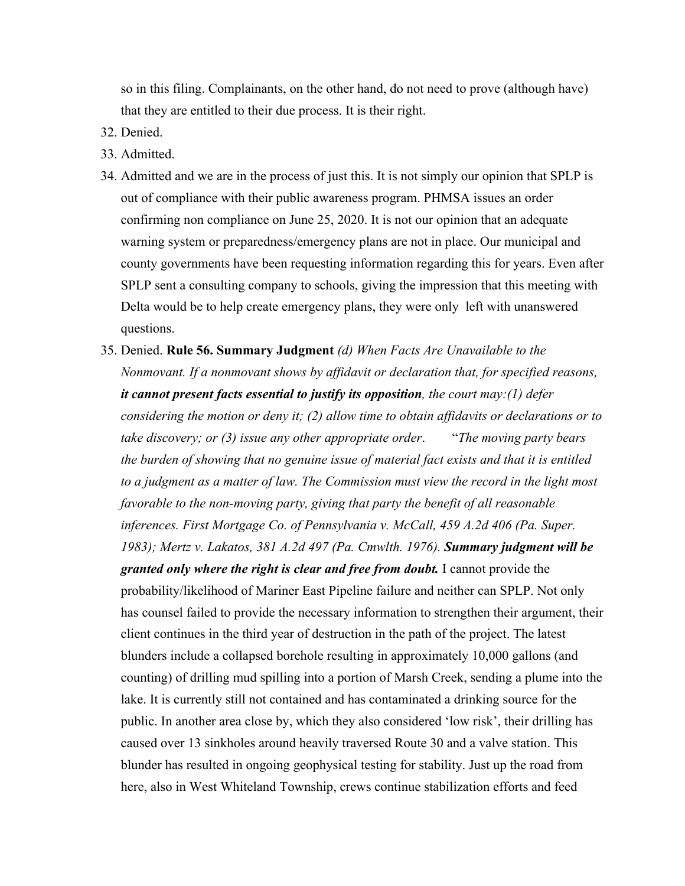so in this filing. Complainants, on the other hand, do not need to prove (although have) that they are entitled to their due process. It is their right.

- 32. Denied.
- 33. Admitted.
- 34. Admitted and we are in the process of just this. It is not simply our opinion that SPLP is out of compliance with their public awareness program. PHMSA issues an order confirming non compliance on June 25, 2020. It is not our opinion that an adequate warning system or preparedness/emergency plans are not in place. Our municipal and county governments have been requesting information regarding this for years. Even after SPLP sent a consulting company to schools, giving the impression that this meeting with Delta would be to help create emergency plans, they were only left with unanswered questions.
- 35. Denied. **Rule 56. Summary Judgment** *(d) When Facts Are Unavailable to the Nonmovant. If a nonmovant shows by affidavit or declaration that, for specified reasons, it cannot present facts essential to justify its opposition, the court may:(1) defer considering the motion or deny it; (2) allow time to obtain affidavits or declarations or to take discovery; or (3) issue any other appropriate order*. "*The moving party bears the burden of showing that no genuine issue of material fact exists and that it is entitled to a judgment as a matter of law. The Commission must view the record in the light most favorable to the non-moving party, giving that party the benefit of all reasonable inferences. First Mortgage Co. of Pennsylvania v. McCall, 459 A.2d 406 (Pa. Super. 1983); Mertz v. Lakatos, 381 A.2d 497 (Pa. Cmwlth. 1976). Summary judgment will be granted only where the right is clear and free from doubt.* I cannot provide the probability/likelihood of Mariner East Pipeline failure and neither can SPLP. Not only has counsel failed to provide the necessary information to strengthen their argument, their client continues in the third year of destruction in the path of the project. The latest blunders include a collapsed borehole resulting in approximately 10,000 gallons (and counting) of drilling mud spilling into a portion of Marsh Creek, sending a plume into the lake. It is currently still not contained and has contaminated a drinking source for the public. In another area close by, which they also considered 'low risk', their drilling has caused over 13 sinkholes around heavily traversed Route 30 and a valve station. This blunder has resulted in ongoing geophysical testing for stability. Just up the road from here, also in West Whiteland Township, crews continue stabilization efforts and feed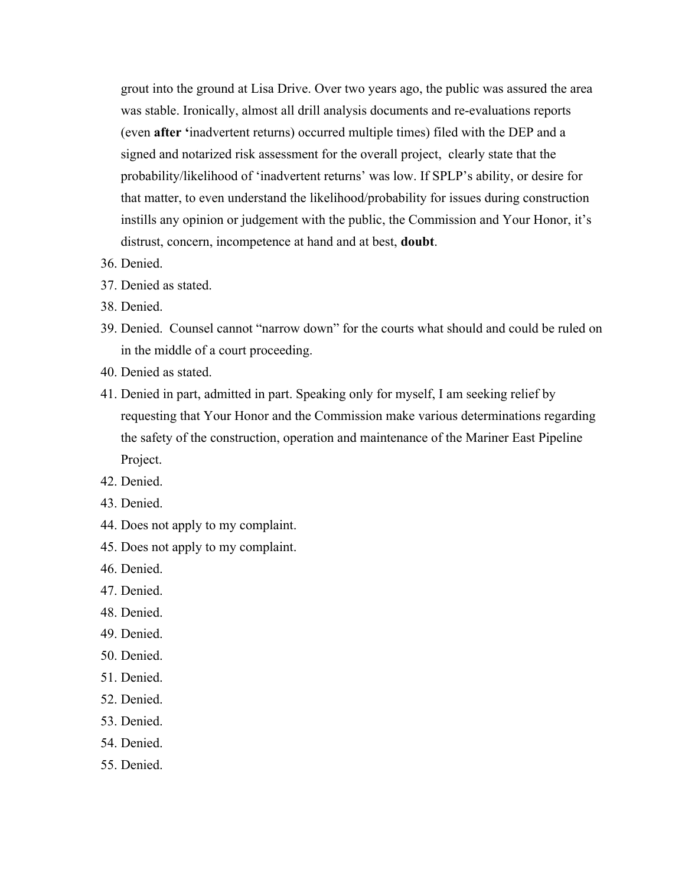grout into the ground at Lisa Drive. Over two years ago, the public was assured the area was stable. Ironically, almost all drill analysis documents and re-evaluations reports (even **after '**inadvertent returns) occurred multiple times) filed with the DEP and a signed and notarized risk assessment for the overall project, clearly state that the probability/likelihood of 'inadvertent returns' was low. If SPLP's ability, or desire for that matter, to even understand the likelihood/probability for issues during construction instills any opinion or judgement with the public, the Commission and Your Honor, it's distrust, concern, incompetence at hand and at best, **doubt**.

- 36. Denied.
- 37. Denied as stated.
- 38. Denied.
- 39. Denied. Counsel cannot "narrow down" for the courts what should and could be ruled on in the middle of a court proceeding.
- 40. Denied as stated.
- 41. Denied in part, admitted in part. Speaking only for myself, I am seeking relief by requesting that Your Honor and the Commission make various determinations regarding the safety of the construction, operation and maintenance of the Mariner East Pipeline Project.
- 42. Denied.
- 43. Denied.
- 44. Does not apply to my complaint.
- 45. Does not apply to my complaint.
- 46. Denied.
- 47. Denied.
- 48. Denied.
- 49. Denied.
- 50. Denied.
- 51. Denied.
- 52. Denied.
- 53. Denied.
- 54. Denied.
- 55. Denied.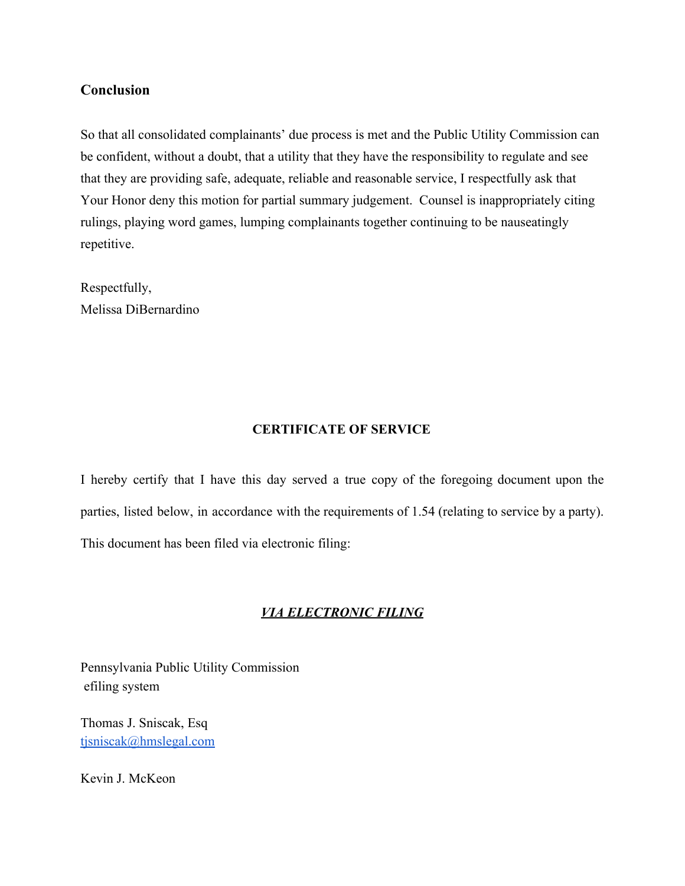# **Conclusion**

So that all consolidated complainants' due process is met and the Public Utility Commission can be confident, without a doubt, that a utility that they have the responsibility to regulate and see that they are providing safe, adequate, reliable and reasonable service, I respectfully ask that Your Honor deny this motion for partial summary judgement. Counsel is inappropriately citing rulings, playing word games, lumping complainants together continuing to be nauseatingly repetitive.

Respectfully, Melissa DiBernardino

### **CERTIFICATE OF SERVICE**

I hereby certify that I have this day served a true copy of the foregoing document upon the parties, listed below, in accordance with the requirements of 1.54 (relating to service by a party). This document has been filed via electronic filing:

# *VIA ELECTRONIC FILING*

Pennsylvania Public Utility Commission efiling system

Thomas J. Sniscak, Esq [tjsniscak@hmslegal.com](mailto:tjsniscak@hmslegal.com)

Kevin J. McKeon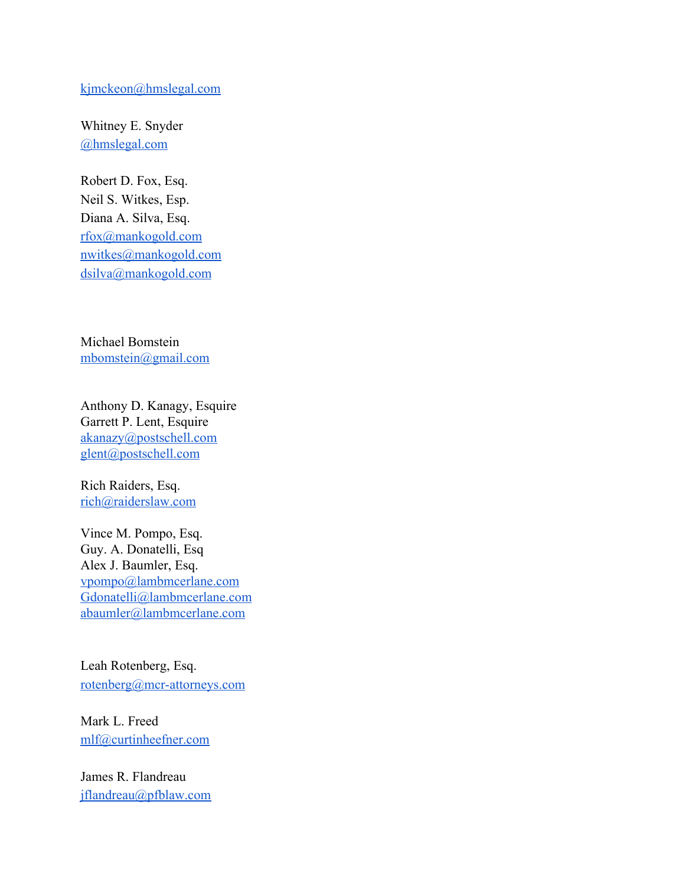#### [kjmckeon@hmslegal.com](mailto:kjmckeon@hmslegal.com)

Whitney E. Snyder [@hmslegal.com](mailto:wesnyder@hmslegal.com)

Robert D. Fox, Esq. Neil S. Witkes, Esp. Diana A. Silva, Esq. [rfox@mankogold.com](mailto:rfox@mankogold.com) [nwitkes@mankogold.com](mailto:nwitkes@mankogold.com) [dsilva@mankogold.com](mailto:dsilva@mankogold.com)

Michael Bomstein [mbomstein@gmail.com](mailto:mbomstein@gmail.com)

Anthony D. Kanagy, Esquire Garrett P. Lent, Esquire [akanazy@postschell.com](mailto:akanazy@postschell.com) [glent@postschell.com](mailto:glent@postschell.com)

Rich Raiders, Esq. [rich@raiderslaw.com](mailto:rich@raiderslaw.com)

Vince M. Pompo, Esq. Guy. A. Donatelli, Esq Alex J. Baumler, Esq. [vpompo@lambmcerlane.com](mailto:vpompo@lambmcerlane.com) [Gdonatelli@lambmcerlane.com](mailto:Gdonatelli@lambmcerlane.com) [abaumler@lambmcerlane.com](mailto:abaumler@lambmcerlane.com)

Leah Rotenberg, Esq. [rotenberg@mcr-attorneys.com](mailto:rotenberg@mcr-attorneys.com)

Mark L. Freed [mlf@curtinheefner.com](mailto:mlf@curtinheefner.com)

James R. Flandreau [jflandreau@pfblaw.com](mailto:jflandreau@pfblaw.com)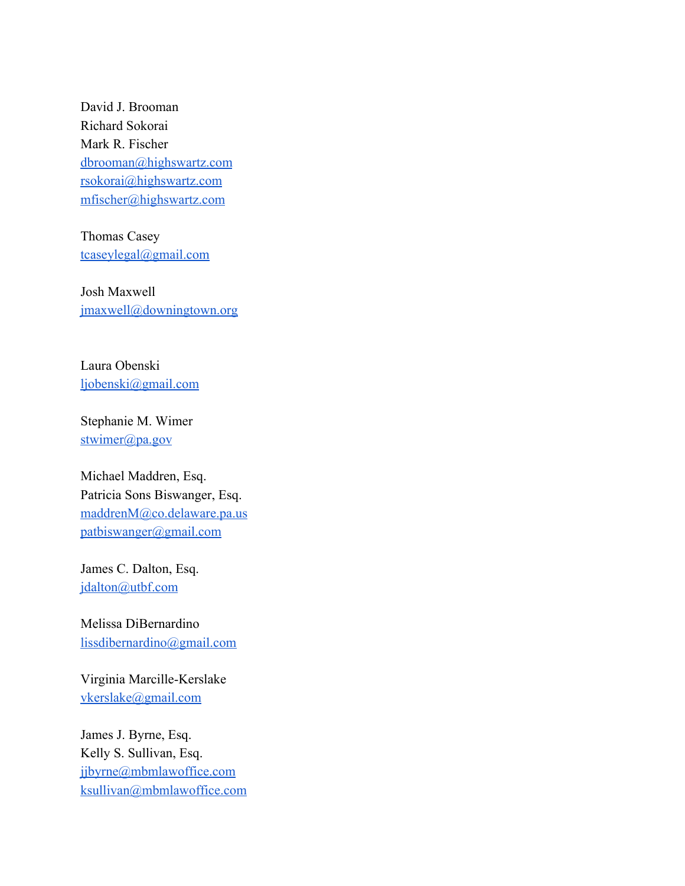David J. Brooman Richard Sokorai Mark R. Fischer [dbrooman@highswartz.com](mailto:dbrooman@highswartz.com) [rsokorai@highswartz.com](mailto:rsokorai@highswartz.com) [mfischer@highswartz.com](mailto:mfischer@highswartz.com)

Thomas Casey [tcaseylegal@gmail.com](mailto:tcaseylegal@gmail.com)

Josh Maxwell [jmaxwell@downingtown.org](mailto:jmaxwell@downingtown.org)

Laura Obenski [ljobenski@gmail.com](mailto:ljobenski@gmail.com)

Stephanie M. Wimer [stwimer@pa.gov](mailto:stwimer@pa.gov)

Michael Maddren, Esq. Patricia Sons Biswanger, Esq. [maddrenM@co.delaware.pa.us](mailto:maddrenM@co.delaware.pa.us) [patbiswanger@gmail.com](mailto:patbiswanger@gmail.com)

James C. Dalton, Esq. [jdalton@utbf.com](mailto:jdalton@utbf.com)

Melissa DiBernardino [lissdibernardino@gmail.com](mailto:lissdibernardino@gmail.com)

Virginia Marcille-Kerslake [vkerslake@gmail.com](mailto:vkerslake@gmail.com)

James J. Byrne, Esq. Kelly S. Sullivan, Esq. [jjbyrne@mbmlawoffice.com](mailto:jjbyrne@mbmlawoffice.com) [ksullivan@mbmlawoffice.com](mailto:ksullivan@mbmlawoffice.com)